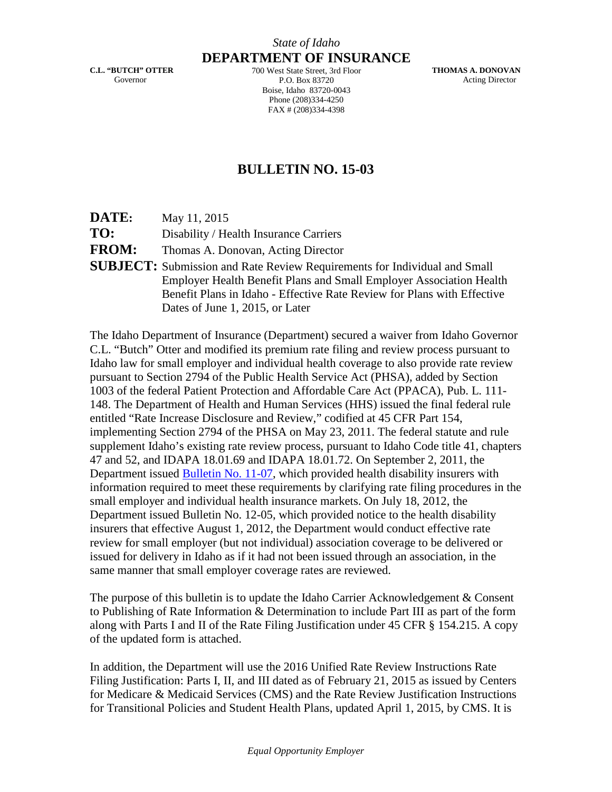**C.L. "BUTCH" OTTER** Governor

**DEPARTMENT OF INSURANCE** 700 West State Street, 3rd Floor P.O. Box 83720 Boise, Idaho 83720-0043 Phone (208)334-4250 FAX # (208)334-4398

**THOMAS A. DONOVAN** Acting Director

## **BULLETIN NO. 15-03**

**DATE:** May 11, 2015

**TO:** Disability / Health Insurance Carriers

**FROM:** Thomas A. Donovan, Acting Director

**SUBJECT:** Submission and Rate Review Requirements for Individual and Small Employer Health Benefit Plans and Small Employer Association Health Benefit Plans in Idaho - Effective Rate Review for Plans with Effective Dates of June 1, 2015, or Later

The Idaho Department of Insurance (Department) secured a waiver from Idaho Governor C.L. "Butch" Otter and modified its premium rate filing and review process pursuant to Idaho law for small employer and individual health coverage to also provide rate review pursuant to Section 2794 of the Public Health Service Act (PHSA), added by Section 1003 of the federal Patient Protection and Affordable Care Act (PPACA), Pub. L. 111- 148. The Department of Health and Human Services (HHS) issued the final federal rule entitled "Rate Increase Disclosure and Review," codified at 45 CFR Part 154, implementing Section 2794 of the PHSA on May 23, 2011. The federal statute and rule supplement Idaho's existing rate review process, pursuant to Idaho Code title 41, chapters 47 and 52, and IDAPA 18.01.69 and IDAPA 18.01.72. On September 2, 2011, the Department issued [Bulletin No. 11-07,](http://www.doi.idaho.gov/laws/11_07.pdf) which provided health disability insurers with information required to meet these requirements by clarifying rate filing procedures in the small employer and individual health insurance markets. On July 18, 2012, the Department issued Bulletin No. 12-05, which provided notice to the health disability insurers that effective August 1, 2012, the Department would conduct effective rate review for small employer (but not individual) association coverage to be delivered or issued for delivery in Idaho as if it had not been issued through an association, in the same manner that small employer coverage rates are reviewed.

The purpose of this bulletin is to update the Idaho Carrier Acknowledgement & Consent to Publishing of Rate Information & Determination to include Part III as part of the form along with Parts I and II of the Rate Filing Justification under 45 CFR § 154.215. A copy of the updated form is attached.

In addition, the Department will use the 2016 Unified Rate Review Instructions Rate Filing Justification: Parts I, II, and III dated as of February 21, 2015 as issued by Centers for Medicare & Medicaid Services (CMS) and the Rate Review Justification Instructions for Transitional Policies and Student Health Plans, updated April 1, 2015, by CMS. It is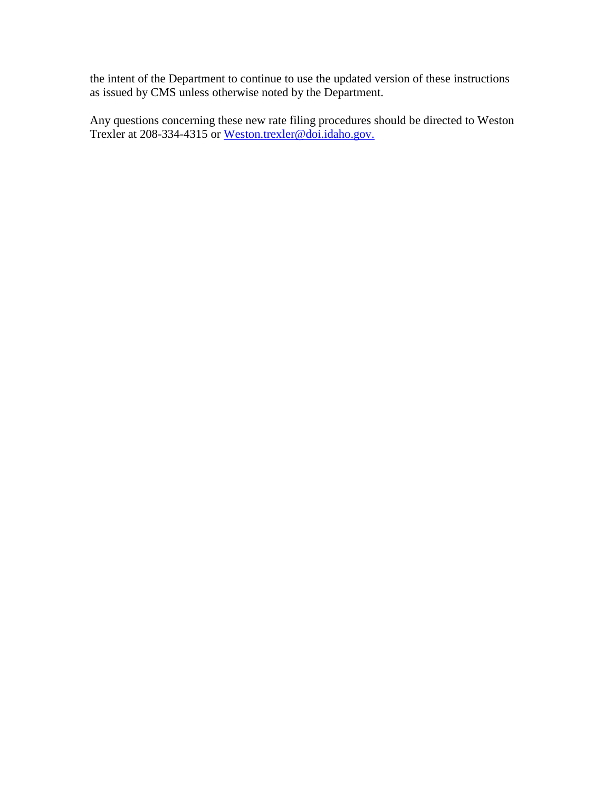the intent of the Department to continue to use the updated version of these instructions as issued by CMS unless otherwise noted by the Department.

Any questions concerning these new rate filing procedures should be directed to Weston Trexler at 208-334-4315 or Weston.trexler@doi.idaho.gov.